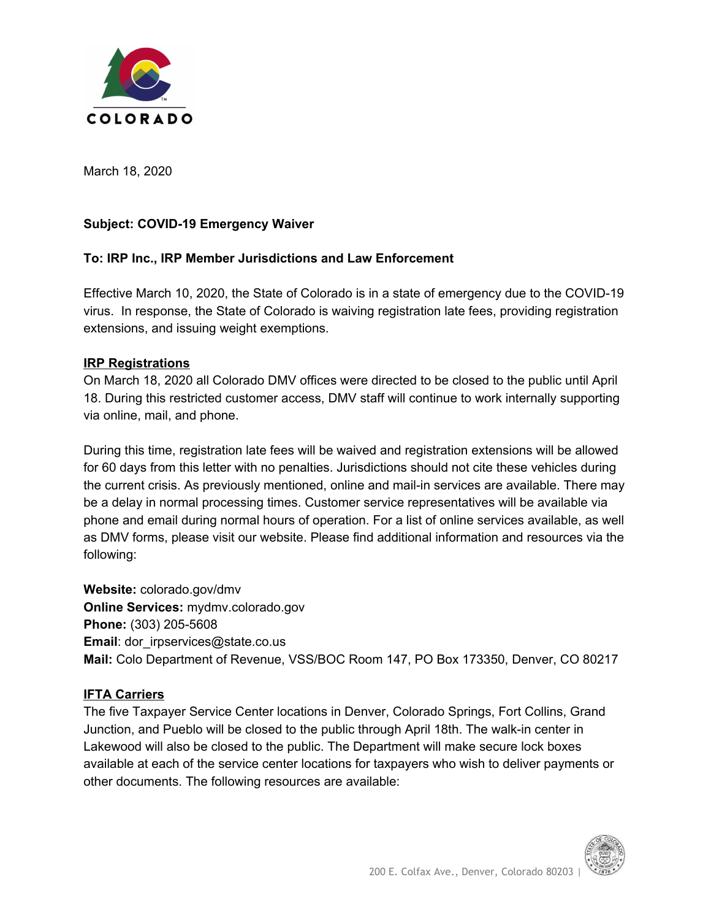

March 18, 2020

## **Subject: COVID-19 Emergency Waiver**

#### **To: IRP Inc., IRP Member Jurisdictions and Law Enforcement**

Effective March 10, 2020, the State of Colorado is in a state of emergency due to the COVID-19 virus. In response, the State of Colorado is waiving registration late fees, providing registration extensions, and issuing weight exemptions.

#### **IRP Registrations**

On March 18, 2020 all Colorado DMV offices were directed to be closed to the public until April 18. During this restricted customer access, DMV staff will continue to work internally supporting via online, mail, and phone.

During this time, registration late fees will be waived and registration extensions will be allowed for 60 days from this letter with no penalties. Jurisdictions should not cite these vehicles during the current crisis. As previously mentioned, online and mail-in services are available. There may be a delay in normal processing times. Customer service representatives will be available via phone and email during normal hours of operation. For a list of online services available, as well as DMV forms, please visit our website. Please find additional information and resources via the following:

**Website:** colorado.gov/dmv **Online Services:** mydmv.colorado.gov **Phone:** (303) 205-5608 **Email:** dor irpservices@state.co.us **Mail:** Colo Department of Revenue, VSS/BOC Room 147, PO Box 173350, Denver, CO 80217

#### **IFTA Carriers**

The five Taxpayer Service Center locations in Denver, Colorado Springs, Fort Collins, Grand Junction, and Pueblo will be closed to the public through April 18th. The walk-in center in Lakewood will also be closed to the public. The Department will make secure lock boxes available at each of the service center locations for taxpayers who wish to deliver payments or other documents. The following resources are available: